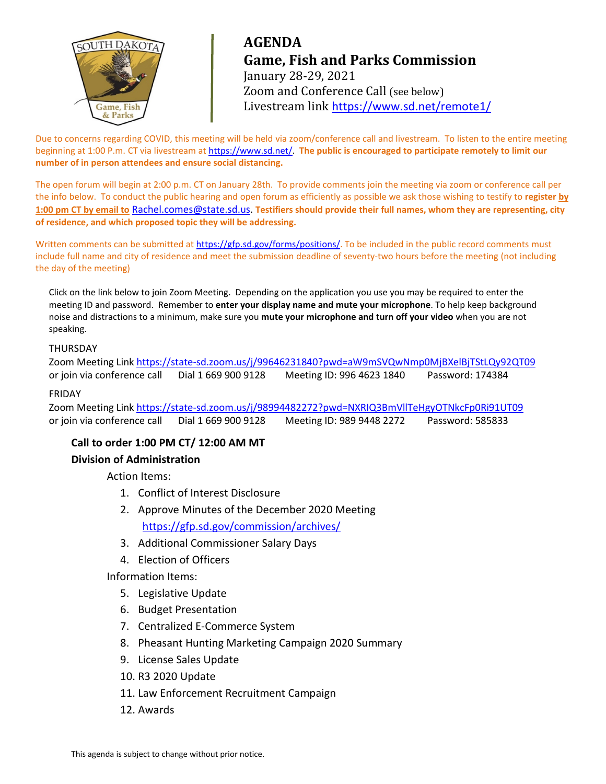

# **AGENDA Game, Fish and Parks Commission** January 28-29, 2021 Zoom and Conference Call (see below) Livestream link <https://www.sd.net/remote1/>

Due to concerns regarding COVID, this meeting will be held via zoom/conference call and livestream. To listen to the entire meeting beginning at 1:00 P.m. CT via livestream at [https://www.sd.net/.](https://www.sd.net/) **The public is encouraged to participate remotely to limit our number of in person attendees and ensure social distancing.**

The open forum will begin at 2:00 p.m. CT on January 28th. To provide comments join the meeting via zoom or conference call per the info below. To conduct the public hearing and open forum as efficiently as possible we ask those wishing to testify to **register by 1:00 pm CT by email to** [Rachel.comes@state.sd.us.](mailto:Rachel.comes@state.sd.us) **Testifiers should provide their full names, whom they are representing, city of residence, and which proposed topic they will be addressing.**

Written comments can be submitted a[t https://gfp.sd.gov/forms/positions/.](https://gfp.sd.gov/forms/positions/) To be included in the public record comments must include full name and city of residence and meet the submission deadline of seventy-two hours before the meeting (not including the day of the meeting)

Click on the link below to join Zoom Meeting. Depending on the application you use you may be required to enter the meeting ID and password. Remember to **enter your display name and mute your microphone**. To help keep background noise and distractions to a minimum, make sure you **mute your microphone and turn off your video** when you are not speaking.

#### THURSDAY

Zoom Meeting Link <https://state-sd.zoom.us/j/99646231840?pwd=aW9mSVQwNmp0MjBXelBjTStLQy92QT09> or join via conference call Dial 1 669 900 9128 Meeting ID: 996 4623 1840 Password: 174384

#### FRIDAY

Zoom Meeting Link<https://state-sd.zoom.us/j/98994482272?pwd=NXRIQ3BmVllTeHgyOTNkcFp0Ri91UT09> or join via conference call Dial 1 669 900 9128 Meeting ID: 989 9448 2272 Password: 585833

# **Call to order 1:00 PM CT/ 12:00 AM MT**

# **Division of Administration**

Action Items:

- 1. Conflict of Interest Disclosure
- 2. Approve Minutes of the December 2020 Meeting <https://gfp.sd.gov/commission/archives/>
- 3. Additional Commissioner Salary Days
- 4. Election of Officers

Information Items:

- 5. Legislative Update
- 6. Budget Presentation
- 7. Centralized E-Commerce System
- 8. Pheasant Hunting Marketing Campaign 2020 Summary
- 9. License Sales Update
- 10. R3 2020 Update
- 11. Law Enforcement Recruitment Campaign
- 12. Awards